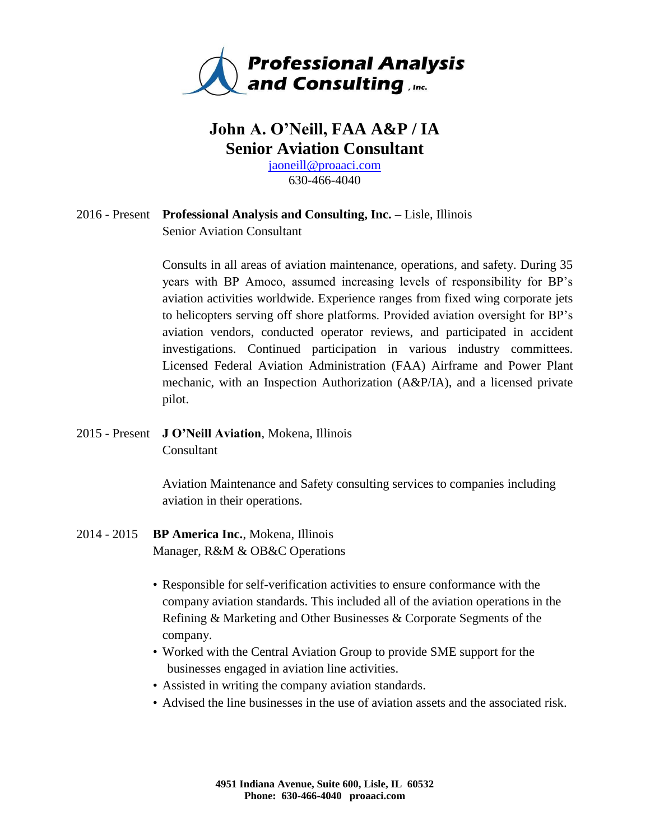

# **John A. O'Neill, FAA A&P / IA Senior Aviation Consultant**

[jaoneill@proaaci.com](mailto:jaoneill@proaaci.com) 630-466-4040

## 2016 - Present **Professional Analysis and Consulting, Inc. –** Lisle, Illinois Senior Aviation Consultant

Consults in all areas of aviation maintenance, operations, and safety. During 35 years with BP Amoco, assumed increasing levels of responsibility for BP's aviation activities worldwide. Experience ranges from fixed wing corporate jets to helicopters serving off shore platforms. Provided aviation oversight for BP's aviation vendors, conducted operator reviews, and participated in accident investigations. Continued participation in various industry committees. Licensed Federal Aviation Administration (FAA) Airframe and Power Plant mechanic, with an Inspection Authorization (A&P/IA), and a licensed private pilot.

# 2015 - Present **J O'Neill Aviation**, Mokena, Illinois Consultant

Aviation Maintenance and Safety consulting services to companies including aviation in their operations.

- 2014 2015 **BP America Inc.**, Mokena, Illinois Manager, R&M & OB&C Operations
	- Responsible for self-verification activities to ensure conformance with the company aviation standards. This included all of the aviation operations in the Refining & Marketing and Other Businesses & Corporate Segments of the company.
	- Worked with the Central Aviation Group to provide SME support for the businesses engaged in aviation line activities.
	- Assisted in writing the company aviation standards.
	- Advised the line businesses in the use of aviation assets and the associated risk.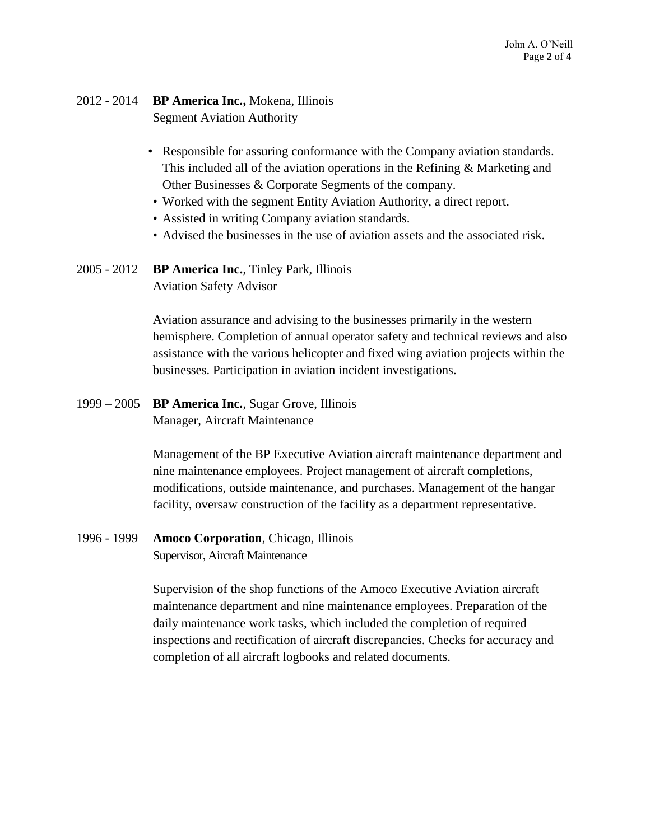#### 2012 - 2014 **BP America Inc.,** Mokena, Illinois Segment Aviation Authority

- Responsible for assuring conformance with the Company aviation standards. This included all of the aviation operations in the Refining & Marketing and Other Businesses & Corporate Segments of the company.
- Worked with the segment Entity Aviation Authority, a direct report.
- Assisted in writing Company aviation standards.
- Advised the businesses in the use of aviation assets and the associated risk.
- 2005 2012 **BP America Inc.**, Tinley Park, Illinois Aviation Safety Advisor

Aviation assurance and advising to the businesses primarily in the western hemisphere. Completion of annual operator safety and technical reviews and also assistance with the various helicopter and fixed wing aviation projects within the businesses. Participation in aviation incident investigations.

1999 – 2005 **BP America Inc.**, Sugar Grove, Illinois Manager, Aircraft Maintenance

> Management of the BP Executive Aviation aircraft maintenance department and nine maintenance employees. Project management of aircraft completions, modifications, outside maintenance, and purchases. Management of the hangar facility, oversaw construction of the facility as a department representative.

1996 - 1999 **Amoco Corporation**, Chicago, Illinois Supervisor, Aircraft Maintenance

> Supervision of the shop functions of the Amoco Executive Aviation aircraft maintenance department and nine maintenance employees. Preparation of the daily maintenance work tasks, which included the completion of required inspections and rectification of aircraft discrepancies. Checks for accuracy and completion of all aircraft logbooks and related documents.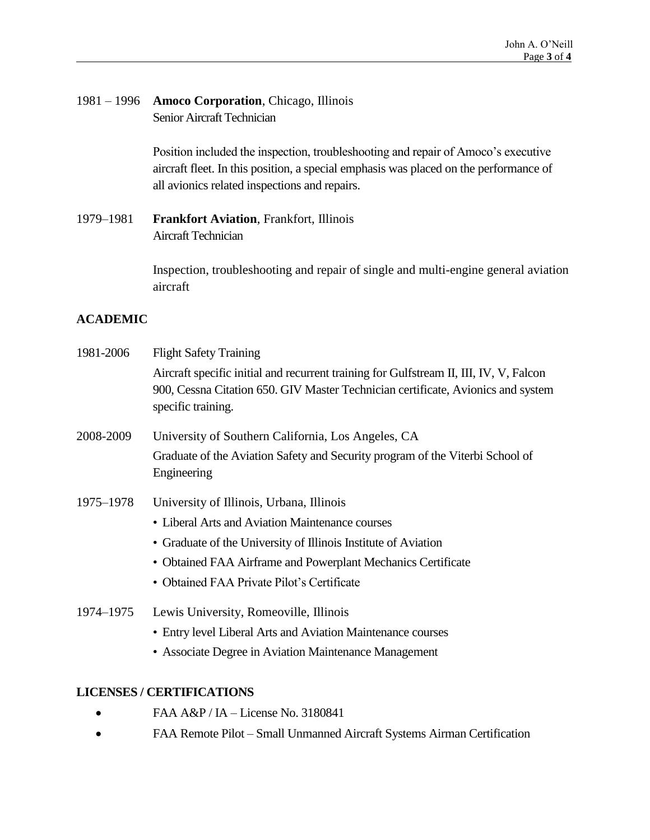# 1981 – 1996 **Amoco Corporation**, Chicago, Illinois Senior Aircraft Technician

Position included the inspection, troubleshooting and repair of Amoco's executive aircraft fleet. In this position, a special emphasis was placed on the performance of all avionics related inspections and repairs.

# 1979–1981 **Frankfort Aviation**, Frankfort, Illinois Aircraft Technician

Inspection, troubleshooting and repair of single and multi-engine general aviation aircraft

# **ACADEMIC**

- 1981-2006 Flight Safety Training Aircraft specific initial and recurrent training for Gulfstream II, III, IV, V, Falcon 900, Cessna Citation 650. GIV Master Technician certificate, Avionics and system specific training.
- 2008-2009 University of Southern California, Los Angeles, CA Graduate of the Aviation Safety and Security program of the Viterbi School of Engineering
- 1975–1978 University of Illinois, Urbana, Illinois
	- Liberal Arts and Aviation Maintenance courses
	- Graduate of the University of Illinois Institute of Aviation
	- Obtained FAA Airframe and Powerplant Mechanics Certificate
	- Obtained FAA Private Pilot's Certificate
- 1974–1975 Lewis University, Romeoville, Illinois
	- Entry level Liberal Arts and Aviation Maintenance courses
	- Associate Degree in Aviation Maintenance Management

## **LICENSES / CERTIFICATIONS**

- FAA A&P / IA License No. 3180841
- FAA Remote Pilot Small Unmanned Aircraft Systems Airman Certification